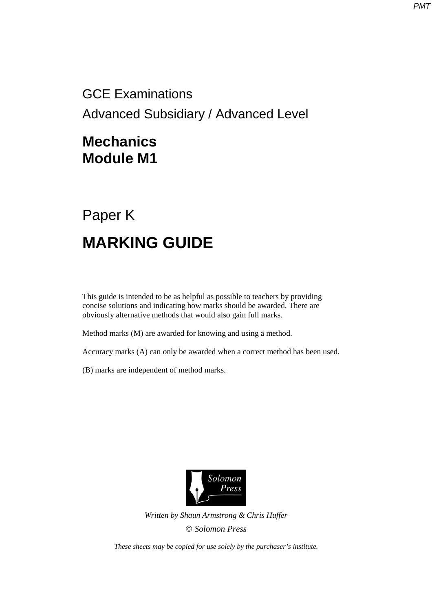GCE Examinations Advanced Subsidiary / Advanced Level

## **Mechanics Module M1**

## Paper K **MARKING GUIDE**

This guide is intended to be as helpful as possible to teachers by providing concise solutions and indicating how marks should be awarded. There are obviously alternative methods that would also gain full marks.

Method marks (M) are awarded for knowing and using a method.

Accuracy marks (A) can only be awarded when a correct method has been used.

(B) marks are independent of method marks.



*Written by Shaun Armstrong & Chris Huffer Solomon Press* 

*These sheets may be copied for use solely by the purchaser's institute.*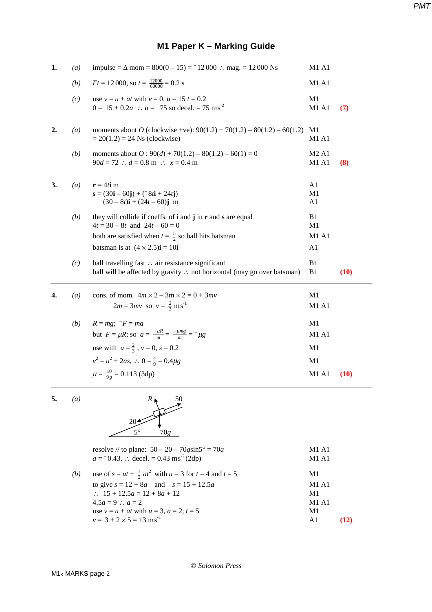## **M1 Paper K – Marking Guide**

| 1. | (a) | impulse = $\Delta$ mom = 800(0 − 15) = $^{-1}$ 2000 ∴ mag. = 12000 Ns                                                                                                                                                                                        | M1 A1                                        |      |
|----|-----|--------------------------------------------------------------------------------------------------------------------------------------------------------------------------------------------------------------------------------------------------------------|----------------------------------------------|------|
|    | (b) | $Ft = 12000$ , so $t = \frac{12000}{60000} = 0.2$ s                                                                                                                                                                                                          | M1 A1                                        |      |
|    | (c) | use $v = u + at$ with $v = 0$ , $u = 15$ $t = 0.2$<br>$0 = 15 + 0.2a$ : $a = 75$ so decel. = 75 ms <sup>-2</sup>                                                                                                                                             | M <sub>1</sub><br>M1 A1                      | (7)  |
| 2. | (a) | moments about O (clockwise +ve): $90(1.2) + 70(1.2) - 80(1.2) - 60(1.2)$<br>$= 20(1.2) = 24$ Ns (clockwise)                                                                                                                                                  | M1<br>M1 A1                                  |      |
|    | (b) | moments about $O$ : 90(d) + 70(1.2) – 80(1.2) – 60(1) = 0<br>$90d = 72$ : $d = 0.8$ m : $x = 0.4$ m                                                                                                                                                          | M <sub>2</sub> A <sub>1</sub><br>M1 A1       | (8)  |
| 3. | (a) | $\mathbf{r} = 4t\mathbf{i}$ m<br>$\mathbf{s} = (30\mathbf{i} - 60\mathbf{j}) + (78\mathbf{i} + 24\mathbf{j})$<br>$(30-8t)\mathbf{i} + (24t-60)\mathbf{j}$ m                                                                                                  | A1<br>M1<br>A1                               |      |
|    | (b) | they will collide if coeffs. of <b>i</b> and <b>j</b> in <b>r</b> and <b>s</b> are equal<br>$4t = 30 - 8t$ and $24t - 60 = 0$<br>both are satisfied when $t = \frac{5}{2}$ so ball hits batsman<br>batsman is at $(4 \times 2.5)\mathbf{i} = 10\mathbf{i}$   | B1<br>M1<br>M1 A1<br>A1                      |      |
|    | (c) | ball travelling fast ∴ air resistance significant<br>ball will be affected by gravity ∴ not horizontal (may go over batsman)                                                                                                                                 | B1<br>B1                                     | (10) |
| 4. | (a) | cons. of mom. $4m \times 2 - 3m \times 2 = 0 + 3mv$<br>$2m = 3mv$ so $v = \frac{2}{3} ms^{-1}$                                                                                                                                                               | M1<br>M1 A1                                  |      |
|    | (b) | $R = mg$ ; $-F = ma$<br>but $F = \mu R$ ; so $a = \frac{-\mu R}{m} = \frac{-\mu mg}{m} = -\mu g$<br>use with $u = \frac{2}{3}$ , $v = 0$ , $s = 0.2$<br>$v^2 = u^2 + 2as$ , $\therefore$ 0 = $\frac{4}{9} - 0.4\mu g$<br>$\mu = \frac{10}{9g} = 0.113$ (3dp) | M1<br>M1 A1<br>M1<br>M <sub>1</sub><br>M1 A1 | (10) |
| 5. | (a) | 50<br>$R_{\perp}$                                                                                                                                                                                                                                            |                                              |      |

 20  $5^{\circ}$   $70g$ 

|     | resolve // to plane: $50 - 20 - 70$ gsin $5^{\circ} = 70a$             | <b>M1 A1</b> |
|-----|------------------------------------------------------------------------|--------------|
|     | $a = 0.43$ , : decel. = 0.43 ms <sup>-2</sup> (2dp)                    | M1 A1        |
| (b) | use of $s = ut + \frac{1}{2}at^2$ with $u = 3$ for $t = 4$ and $t = 5$ | M1           |
|     | to give $s = 12 + 8a$ and $s = 15 + 12.5a$                             | M1A1         |
|     | $\therefore$ 15 + 12.5a = 12 + 8a + 12                                 | M1           |
|     | $4.5a = 9$ ; $a = 2$                                                   | M1A1         |
|     | use $v = u + at$ with $u = 3$ , $a = 2$ , $t = 5$                      | M1           |
|     | $v = 3 + 2 \times 5 = 13$ ms <sup>-1</sup>                             | A1           |
|     |                                                                        |              |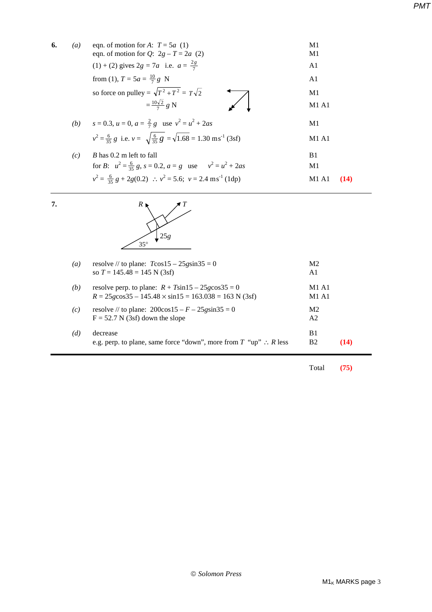| 6. | $\left(a\right)$ | eqn. of motion for A: $T = 5a(1)$<br>eqn. of motion for Q: $2g - T = 2a$ (2)                       | M1<br>M1       |  |
|----|------------------|----------------------------------------------------------------------------------------------------|----------------|--|
|    |                  | (1) + (2) gives $2g = 7a$ i.e. $a = \frac{2g}{7}$                                                  | A1             |  |
|    |                  | from (1), $T = 5a = \frac{10}{7}g$ N                                                               | A <sub>1</sub> |  |
|    |                  | so force on pulley = $\sqrt{T^2 + T^2} = T\sqrt{2}$                                                | M1             |  |
|    |                  | $=\frac{10\sqrt{2}}{7}g N$                                                                         | M1A1           |  |
|    |                  | (b) $s = 0.3$ , $u = 0$ , $a = \frac{2}{7}g$ use $v^2 = u^2 + 2as$                                 | M1             |  |
|    |                  | $v^2 = \frac{6}{35} g$ i.e. $v = \sqrt{\frac{6}{35} g} = \sqrt{1.68} = 1.30 \text{ ms}^{-1}$ (3sf) | M1A1           |  |
|    | (c)              | $B$ has 0.2 m left to fall                                                                         | B1             |  |
|    |                  | for B: $u^2 = \frac{6}{35} g$ , $s = 0.2$ , $a = g$ use $v^2 = u^2 + 2as$                          | M1             |  |
|    |                  | $v^2 = \frac{6}{35} g + 2g(0.2)$ : $v^2 = 5.6$ ; $v = 2.4 \text{ ms}^{-1}$ (1dp)                   | M1 A1<br>(14)  |  |
|    |                  |                                                                                                    |                |  |



 $\overline{7}$ .

| $\left( a\right)$ | resolve // to plane: $T\cos 15 - 25g\sin 35 = 0$<br>so $T = 145.48 = 145$ N (3sf)                                           | M <sub>2</sub><br>A1                   |      |
|-------------------|-----------------------------------------------------------------------------------------------------------------------------|----------------------------------------|------|
| (b)               | resolve perp. to plane: $R + T\sin 15 - 25g\cos 35 = 0$<br>$R = 25g\cos 35 - 145.48 \times \sin 15 = 163.038 = 163$ N (3sf) | M <sub>1</sub> A <sub>1</sub><br>M1 A1 |      |
| (c)               | resolve // to plane: $200\cos 15 - F - 25g\sin 35 = 0$<br>$F = 52.7 N (3sf)$ down the slope                                 | M <sub>2</sub><br>A <sub>2</sub>       |      |
| (d)               | decrease<br>e.g. perp. to plane, same force "down", more from $T$ "up" $\therefore$ R less                                  | B1<br>B2                               | (14) |

Total **(75)**